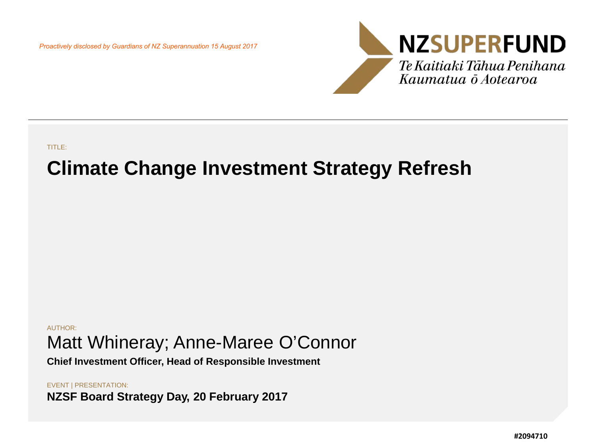*Proactively disclosed by Guardians of NZ Superannuation 15 August 2017*



TITLE:

## **Climate Change Investment Strategy Refresh**

AUTHOR: Matt Whineray; Anne-Maree O'Connor

**Chief Investment Officer, Head of Responsible Investment**

EVENT | PRESENTATION: **NZSF Board Strategy Day, 20 February 2017**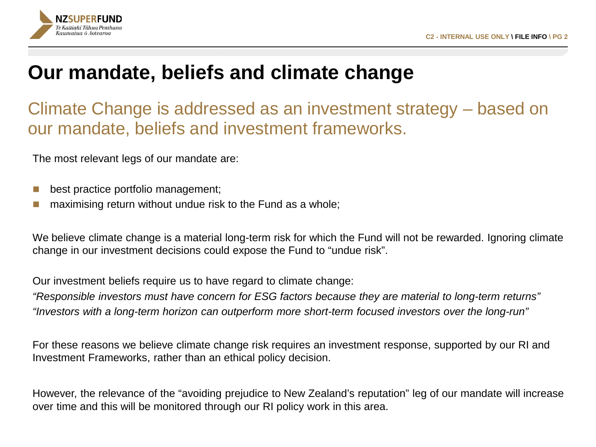

### **Our mandate, beliefs and climate change**

Climate Change is addressed as an investment strategy – based on our mandate, beliefs and investment frameworks.

The most relevant legs of our mandate are:

- best practice portfolio management;
- maximising return without undue risk to the Fund as a whole;

We believe climate change is a material long-term risk for which the Fund will not be rewarded. Ignoring climate change in our investment decisions could expose the Fund to "undue risk".

Our investment beliefs require us to have regard to climate change:

*"Responsible investors must have concern for ESG factors because they are material to long-term returns" "Investors with a long-term horizon can outperform more short-term focused investors over the long-run"* 

For these reasons we believe climate change risk requires an investment response, supported by our RI and Investment Frameworks, rather than an ethical policy decision.

However, the relevance of the "avoiding prejudice to New Zealand's reputation" leg of our mandate will increase over time and this will be monitored through our RI policy work in this area.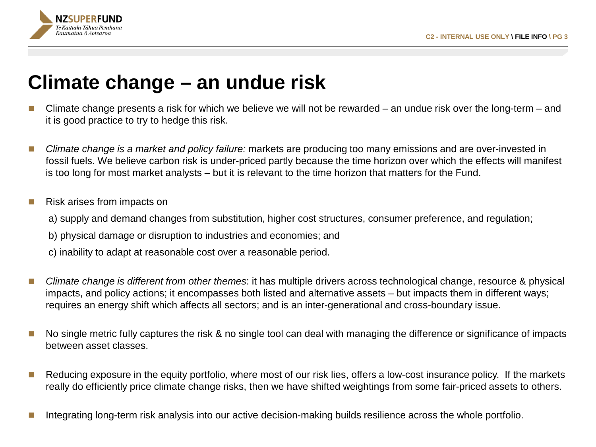

## **Climate change – an undue risk**

- Climate change presents a risk for which we believe we will not be rewarded an undue risk over the long-term and it is good practice to try to hedge this risk.
- Climate change is a market and policy failure: markets are producing too many emissions and are over-invested in fossil fuels. We believe carbon risk is under-priced partly because the time horizon over which the effects will manifest is too long for most market analysts – but it is relevant to the time horizon that matters for the Fund.
- Risk arises from impacts on
	- a) supply and demand changes from substitution, higher cost structures, consumer preference, and regulation;
	- b) physical damage or disruption to industries and economies; and
	- c) inability to adapt at reasonable cost over a reasonable period.
- *Climate change is different from other themes*: it has multiple drivers across technological change, resource & physical impacts, and policy actions; it encompasses both listed and alternative assets – but impacts them in different ways; requires an energy shift which affects all sectors; and is an inter-generational and cross-boundary issue.
- No single metric fully captures the risk & no single tool can deal with managing the difference or significance of impacts between asset classes.
- Reducing exposure in the equity portfolio, where most of our risk lies, offers a low-cost insurance policy. If the markets really do efficiently price climate change risks, then we have shifted weightings from some fair-priced assets to others.
- Integrating long-term risk analysis into our active decision-making builds resilience across the whole portfolio.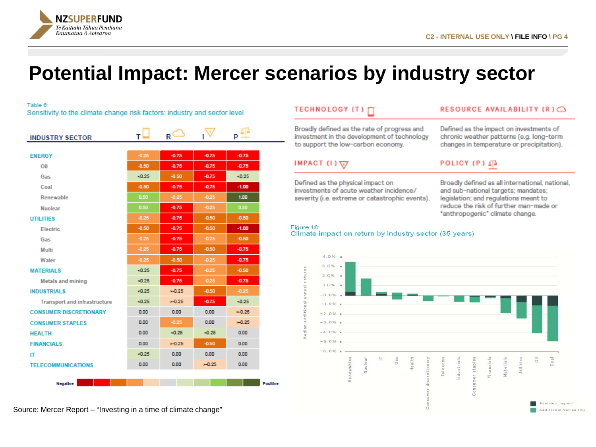

### **Potential Impact: Mercer scenarios by industry sector**

Table 6:

Sensitivity to the climate change risk factors: industry and sector level

| <b>INDUSTRY SECTOR</b>              | т⊌      | R'       |         | p:      |                 |
|-------------------------------------|---------|----------|---------|---------|-----------------|
|                                     |         |          |         |         |                 |
| <b>ENERGY</b>                       | $-0.25$ | $-0.75$  | $-0.75$ | $-0.75$ |                 |
| Oil                                 | $-0.50$ | $-0.75$  | $-0.75$ | $-0.75$ |                 |
| Gas                                 | $-0.25$ | $-0.50$  | $-0.75$ | $-0.25$ |                 |
| Coal                                | $-0.50$ | $-0.75$  | $-0.75$ | $-1.00$ |                 |
| Renewable                           | 0.50    | $-0.25$  | $-0.25$ | 1.00    |                 |
| <b>Nuclear</b>                      | 0.50    | $-0.75$  | $-0.25$ | 0.50    |                 |
| <b>UTILITIES</b>                    | $-0.25$ | $-0.75$  | $-0.50$ | $-0.50$ |                 |
| <b>Electric</b>                     | $-0.50$ | $-0.75$  | $-0.50$ | $-1.00$ |                 |
| Gas                                 | $-0.25$ | $-0.75$  | $-0.25$ | $-0.50$ |                 |
| Multi                               | $-0.25$ | $-0.75$  | $-0.50$ | $-0.75$ |                 |
| Water                               | $-0.25$ | $-0.50$  | $-0.25$ | $-0.75$ |                 |
| <b>MATERIALS</b>                    | $-0.25$ | $-0.75$  | $-0.25$ | $-0.50$ |                 |
| <b>Metals and mining</b>            | $-0.25$ | $-0.75$  | $-0.25$ | $-0.75$ |                 |
| <b>INDUSTRIALS</b>                  | $-0.25$ | $= 0.25$ | $-0.50$ | $-0.25$ |                 |
| <b>Transport and infrastructure</b> | $-0.25$ | $= 0.25$ | $-0.75$ | $-0.25$ |                 |
| <b>CONSUMER DISCRETIONARY</b>       | 0.00    | 0.00     | 0.00    | $-0.25$ |                 |
| <b>CONSUMER STAPLES</b>             | 0.00    | $-0.25$  | 0.00    | $-0.25$ |                 |
| <b>HEALTH</b>                       | 0.00    | $-0.25$  | $-0.25$ | 0.00    |                 |
| <b>FINANCIALS</b>                   | 0.00    | $-0.25$  | $-0.50$ | 0.00    |                 |
| П                                   | $-0.25$ | 0.00     | 0.00    | 0.00    |                 |
| <b>TELECOMMUNICATIONS</b>           | 0.00    | 0.00     | $-0.25$ | 0.00    |                 |
|                                     |         |          |         |         |                 |
| <b>Nanzibra</b>                     |         |          |         |         | <b>Positive</b> |

### TECHNOLOGY (T) [

Broadly defined as the rate of progress and investment in the development of technology to support the low-carbon economy.

IMPACT  $(1)\sqrt{y}$ 

Defined as the physical impact on investments of acute weather incidence/ severity (i.e. extreme or catastrophic events).

#### RESOURCE AVAILABILITY (R)CO

Defined as the impact on investments of chronic weather patterns (e.g. long-term changes in temperature or precipitation).

#### **POLICY (P)** 4<sup>4</sup>

Broadly defined as all international, national, and sub-national targets; mandates; legislation; and regulations meant to reduce the risk of further man-made or "anthropogenic" climate change.

#### Figure 18: Climate impact on return by industry sector (35 years)

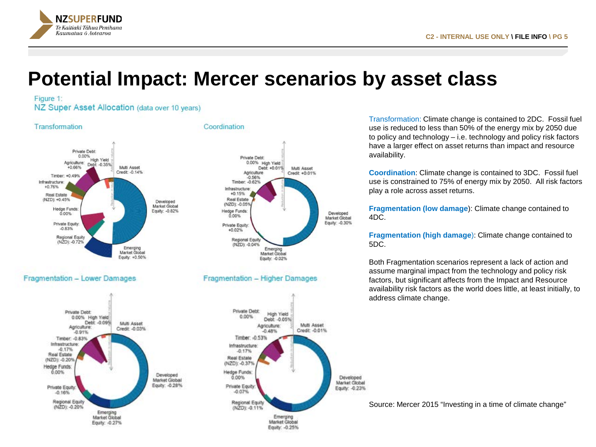

### **Potential Impact: Mercer scenarios by asset class**

#### Figure 1:

NZ Super Asset Allocation (data over 10 years)



Transformation: Climate change is contained to 2DC. Fossil fuel use is reduced to less than 50% of the energy mix by 2050 due to policy and technology – i.e. technology and policy risk factors have a larger effect on asset returns than impact and resource availability.

**Coordination**: Climate change is contained to 3DC. Fossil fuel use is constrained to 75% of energy mix by 2050. All risk factors play a role across asset returns.

**Fragmentation (low damage**): Climate change contained to 4DC.

**Fragmentation (high damage**): Climate change contained to 5DC.

Both Fragmentation scenarios represent a lack of action and assume marginal impact from the technology and policy risk factors, but significant affects from the Impact and Resource availability risk factors as the world does little, at least initially, to address climate change.

Source: Mercer 2015 "Investing in a time of climate change"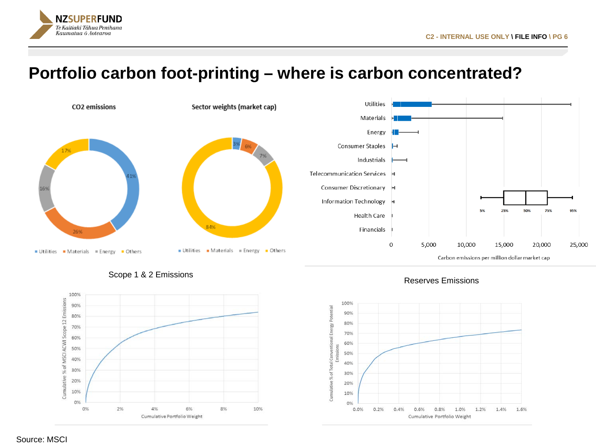

### **Portfolio carbon foot-printing – where is carbon concentrated?**









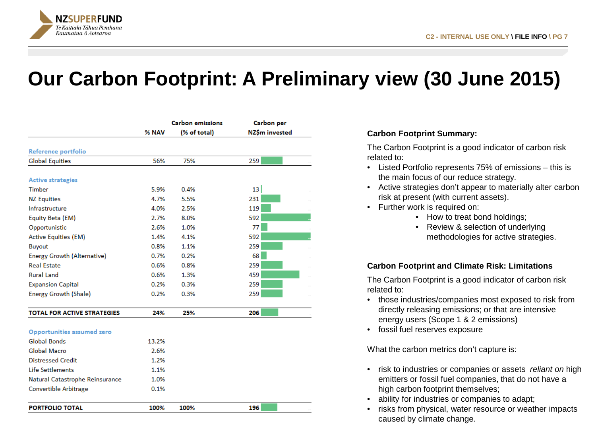

**PORTFOLIO TOTAL** 

## **Our Carbon Footprint: A Preliminary view (30 June 2015)**

|                                    | <b>Carbon emissions</b> |              | <b>Carbon</b> per |  |
|------------------------------------|-------------------------|--------------|-------------------|--|
|                                    | % NAV                   | (% of total) | NZŚm invested     |  |
| Reference portfolio                |                         |              |                   |  |
| <b>Global Equities</b>             | 56%                     | 75%          | 259               |  |
|                                    |                         |              |                   |  |
| <b>Active strategies</b>           |                         |              |                   |  |
| Timber                             | 5.9%                    | 0.4%         | 13                |  |
| <b>NZ Equities</b>                 | 4.7%                    | 5.5%         | 231               |  |
| Infrastructure                     | 4.0%                    | 2.5%         | 119               |  |
| Equity Beta (EM)                   | 2.7%                    | 8.0%         | 592               |  |
| Opportunistic                      | 2.6%                    | 1.0%         | 77                |  |
| <b>Active Equities (EM)</b>        | 1.4%                    | 4.1%         | 592               |  |
| <b>Buyout</b>                      | 0.8%                    | 1.1%         | 259               |  |
| <b>Energy Growth (Alternative)</b> | 0.7%                    | 0.2%         | 68                |  |
| <b>Real Estate</b>                 | 0.6%                    | 0.8%         | 259               |  |
| <b>Rural Land</b>                  | 0.6%                    | 1.3%         | 459               |  |
| <b>Expansion Capital</b>           | 0.2%                    | 0.3%         | 259               |  |
| <b>Energy Growth (Shale)</b>       | 0.2%                    | 0.3%         | 259               |  |
| <b>TOTAL FOR ACTIVE STRATEGIES</b> | 24%                     | 25%          | 206               |  |
|                                    |                         |              |                   |  |
| Opportunities assumed zero         |                         |              |                   |  |
| Global Bonds                       | 13.2%                   |              |                   |  |
| Global Macro                       | 2.6%                    |              |                   |  |
| <b>Distressed Credit</b>           | 1.2%                    |              |                   |  |
| Life Settlements                   | 1.1%                    |              |                   |  |
| Natural Catastrophe Reinsurance    | 1.0%                    |              |                   |  |
| Convertible Arbitrage              | 0.1%                    |              |                   |  |

100%

100%

196

#### **Carbon Footprint Summary:**

The Carbon Footprint is a good indicator of carbon risk related to:

- Listed Portfolio represents 75% of emissions this is the main focus of our reduce strategy.
- Active strategies don't appear to materially alter carbon risk at present (with current assets).
- Further work is required on:
	- How to treat bond holdings;
	- Review & selection of underlying methodologies for active strategies.

#### **Carbon Footprint and Climate Risk: Limitations**

The Carbon Footprint is a good indicator of carbon risk related to:

- those industries/companies most exposed to risk from directly releasing emissions; or that are intensive energy users (Scope 1 & 2 emissions)
- fossil fuel reserves exposure

What the carbon metrics don't capture is:

- risk to industries or companies or assets *reliant on* high emitters or fossil fuel companies, that do not have a high carbon footprint themselves;
- ability for industries or companies to adapt;
- risks from physical, water resource or weather impacts caused by climate change.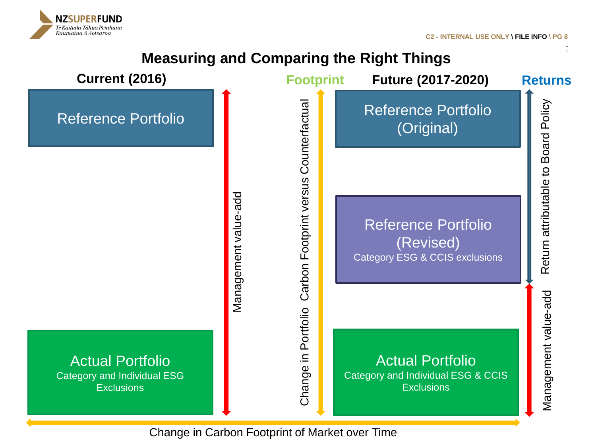**C2 - INTERNAL USE ONLY \ FILE INFO \ PG 8**

Return attributable to Board Policy

Return attributable to Board Policy

Management value-add

Management value-add



NZSUPERFUND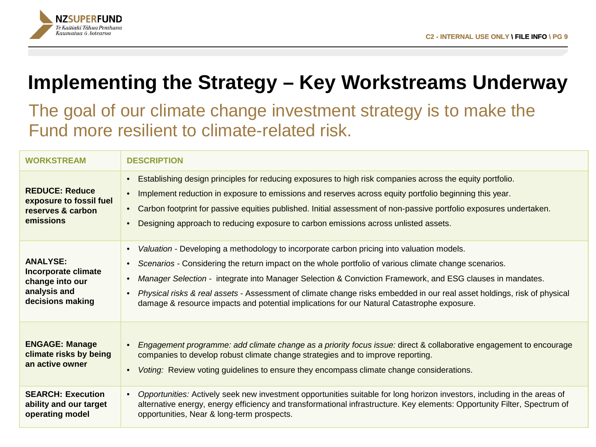

# **Implementing the Strategy – Key Workstreams Underway**

### The goal of our climate change investment strategy is to make the Fund more resilient to climate-related risk.

| <b>WORKSTREAM</b>                                                                             | <b>DESCRIPTION</b>                                                                                                                                                                                                                                                                                                                                                                                                                                                                                                                                    |
|-----------------------------------------------------------------------------------------------|-------------------------------------------------------------------------------------------------------------------------------------------------------------------------------------------------------------------------------------------------------------------------------------------------------------------------------------------------------------------------------------------------------------------------------------------------------------------------------------------------------------------------------------------------------|
| <b>REDUCE: Reduce</b><br>exposure to fossil fuel<br>reserves & carbon<br>emissions            | Establishing design principles for reducing exposures to high risk companies across the equity portfolio.<br>Implement reduction in exposure to emissions and reserves across equity portfolio beginning this year.<br>$\bullet$<br>• Carbon footprint for passive equities published. Initial assessment of non-passive portfolio exposures undertaken.<br>Designing approach to reducing exposure to carbon emissions across unlisted assets.                                                                                                       |
| <b>ANALYSE:</b><br>Incorporate climate<br>change into our<br>analysis and<br>decisions making | Valuation - Developing a methodology to incorporate carbon pricing into valuation models.<br>Scenarios - Considering the return impact on the whole portfolio of various climate change scenarios.<br>$\bullet$<br>Manager Selection - integrate into Manager Selection & Conviction Framework, and ESG clauses in mandates.<br>Physical risks & real assets - Assessment of climate change risks embedded in our real asset holdings, risk of physical<br>damage & resource impacts and potential implications for our Natural Catastrophe exposure. |
| <b>ENGAGE: Manage</b><br>climate risks by being<br>an active owner                            | Engagement programme: add climate change as a priority focus issue: direct & collaborative engagement to encourage<br>companies to develop robust climate change strategies and to improve reporting.<br>Voting: Review voting guidelines to ensure they encompass climate change considerations.<br>$\bullet$                                                                                                                                                                                                                                        |
| <b>SEARCH: Execution</b><br>ability and our target<br>operating model                         | Opportunities: Actively seek new investment opportunities suitable for long horizon investors, including in the areas of<br>$\bullet$<br>alternative energy, energy efficiency and transformational infrastructure. Key elements: Opportunity Filter, Spectrum of<br>opportunities, Near & long-term prospects.                                                                                                                                                                                                                                       |